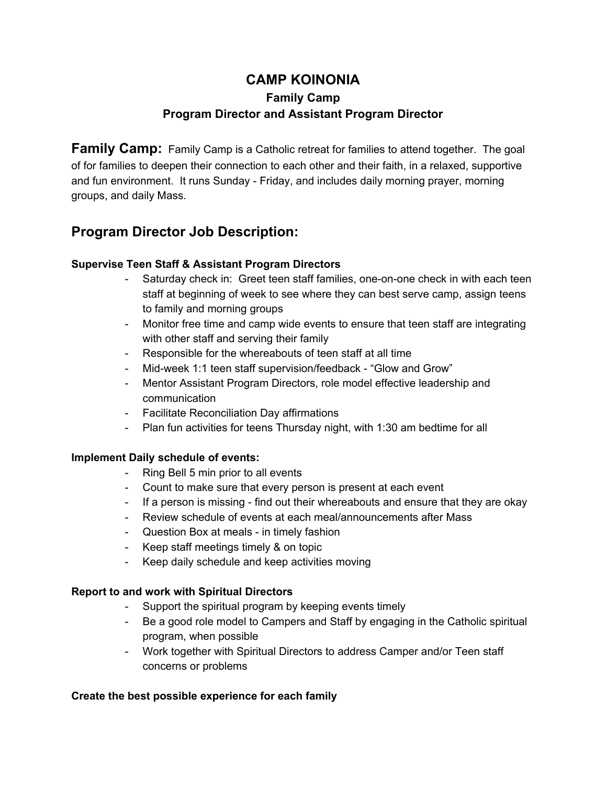# **CAMP KOINONIA Family Camp Program Director and Assistant Program Director**

**Family Camp:** Family Camp is a Catholic retreat for families to attend together. The goal of for families to deepen their connection to each other and their faith, in a relaxed, supportive and fun environment. It runs Sunday - Friday, and includes daily morning prayer, morning groups, and daily Mass.

## **Program Director Job Description:**

## **Supervise Teen Staff & Assistant Program Directors**

- Saturday check in: Greet teen staff families, one-on-one check in with each teen staff at beginning of week to see where they can best serve camp, assign teens to family and morning groups
- Monitor free time and camp wide events to ensure that teen staff are integrating with other staff and serving their family
- Responsible for the whereabouts of teen staff at all time
- Mid-week 1:1 teen staff supervision/feedback "Glow and Grow"
- Mentor Assistant Program Directors, role model effective leadership and communication
- Facilitate Reconciliation Day affirmations
- Plan fun activities for teens Thursday night, with 1:30 am bedtime for all

## **Implement Daily schedule of events:**

- Ring Bell 5 min prior to all events
- Count to make sure that every person is present at each event
- If a person is missing find out their whereabouts and ensure that they are okay
- Review schedule of events at each meal/announcements after Mass
- Question Box at meals in timely fashion
- Keep staff meetings timely & on topic
- Keep daily schedule and keep activities moving

## **Report to and work with Spiritual Directors**

- Support the spiritual program by keeping events timely
- Be a good role model to Campers and Staff by engaging in the Catholic spiritual program, when possible
- Work together with Spiritual Directors to address Camper and/or Teen staff concerns or problems

## **Create the best possible experience for each family**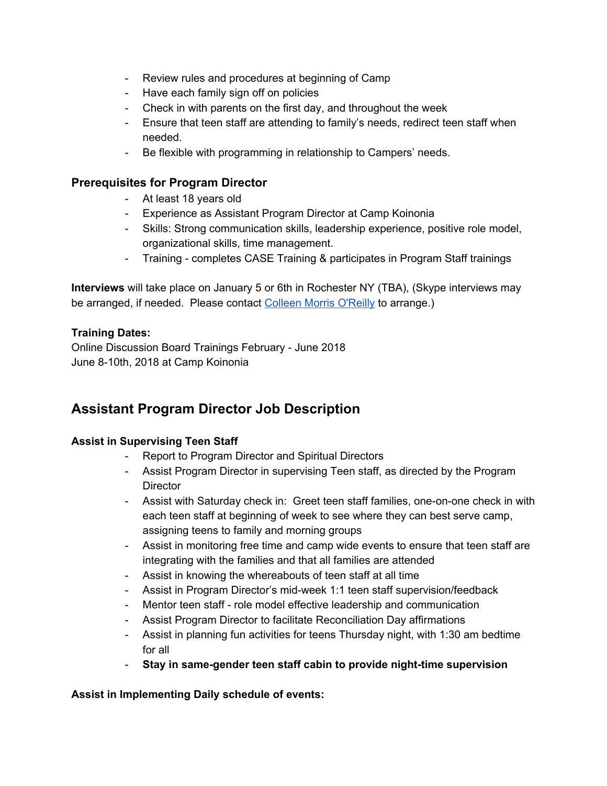- Review rules and procedures at beginning of Camp
- Have each family sign off on policies
- Check in with parents on the first day, and throughout the week
- Ensure that teen staff are attending to family's needs, redirect teen staff when needed.
- Be flexible with programming in relationship to Campers' needs.

## **Prerequisites for Program Director**

- At least 18 years old
- Experience as Assistant Program Director at Camp Koinonia
- Skills: Strong communication skills, leadership experience, positive role model, organizational skills, time management.
- Training completes CASE Training & participates in Program Staff trainings

**Interviews** will take place on January 5 or 6th in Rochester NY (TBA), (Skype interviews may be arranged, if needed. Please contact [Colleen](mailto:cjmo626@gmail.com) Morris O'Reilly to arrange.)

#### **Training Dates:**

Online Discussion Board Trainings February - June 2018 June 8-10th, 2018 at Camp Koinonia

## **Assistant Program Director Job Description**

#### **Assist in Supervising Teen Staff**

- Report to Program Director and Spiritual Directors
- Assist Program Director in supervising Teen staff, as directed by the Program **Director**
- Assist with Saturday check in: Greet teen staff families, one-on-one check in with each teen staff at beginning of week to see where they can best serve camp, assigning teens to family and morning groups
- Assist in monitoring free time and camp wide events to ensure that teen staff are integrating with the families and that all families are attended
- Assist in knowing the whereabouts of teen staff at all time
- Assist in Program Director's mid-week 1:1 teen staff supervision/feedback
- Mentor teen staff role model effective leadership and communication
- Assist Program Director to facilitate Reconciliation Day affirmations
- Assist in planning fun activities for teens Thursday night, with 1:30 am bedtime for all
- **Stay in same-gender teen staff cabin to provide night-time supervision**

**Assist in Implementing Daily schedule of events:**